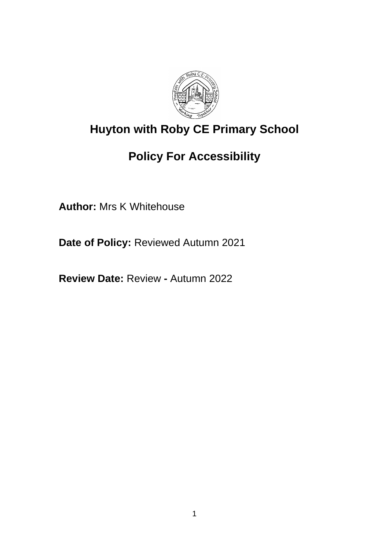

# **Huyton with Roby CE Primary School**

# **Policy For Accessibility**

**Author:** Mrs K Whitehouse

**Date of Policy:** Reviewed Autumn 2021

**Review Date:** Review **-** Autumn 2022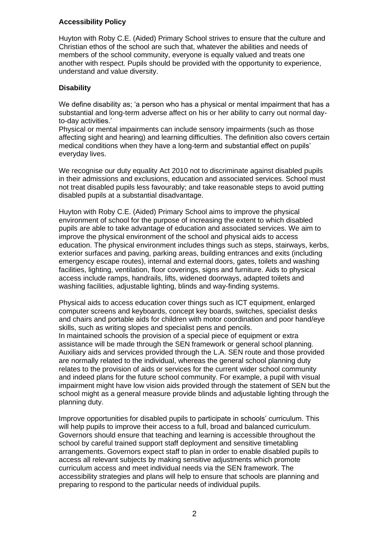### **Accessibility Policy**

Huyton with Roby C.E. (Aided) Primary School strives to ensure that the culture and Christian ethos of the school are such that, whatever the abilities and needs of members of the school community, everyone is equally valued and treats one another with respect. Pupils should be provided with the opportunity to experience, understand and value diversity.

## **Disability**

We define disability as; 'a person who has a physical or mental impairment that has a substantial and long-term adverse affect on his or her ability to carry out normal dayto-day activities.'

Physical or mental impairments can include sensory impairments (such as those affecting sight and hearing) and learning difficulties. The definition also covers certain medical conditions when they have a long-term and substantial effect on pupils' everyday lives.

We recognise our duty equality Act 2010 not to discriminate against disabled pupils in their admissions and exclusions, education and associated services. School must not treat disabled pupils less favourably; and take reasonable steps to avoid putting disabled pupils at a substantial disadvantage.

Huyton with Roby C.E. (Aided) Primary School aims to improve the physical environment of school for the purpose of increasing the extent to which disabled pupils are able to take advantage of education and associated services. We aim to improve the physical environment of the school and physical aids to access education. The physical environment includes things such as steps, stairways, kerbs, exterior surfaces and paving, parking areas, building entrances and exits (including emergency escape routes), internal and external doors, gates, toilets and washing facilities, lighting, ventilation, floor coverings, signs and furniture. Aids to physical access include ramps, handrails, lifts, widened doorways, adapted toilets and washing facilities, adjustable lighting, blinds and way-finding systems.

Physical aids to access education cover things such as ICT equipment, enlarged computer screens and keyboards, concept key boards, switches, specialist desks and chairs and portable aids for children with motor coordination and poor hand/eye skills, such as writing slopes and specialist pens and pencils.

In maintained schools the provision of a special piece of equipment or extra assistance will be made through the SEN framework or general school planning. Auxiliary aids and services provided through the L.A. SEN route and those provided are normally related to the individual, whereas the general school planning duty relates to the provision of aids or services for the current wider school community and indeed plans for the future school community. For example, a pupil with visual impairment might have low vision aids provided through the statement of SEN but the school might as a general measure provide blinds and adjustable lighting through the planning duty.

Improve opportunities for disabled pupils to participate in schools' curriculum. This will help pupils to improve their access to a full, broad and balanced curriculum. Governors should ensure that teaching and learning is accessible throughout the school by careful trained support staff deployment and sensitive timetabling arrangements. Governors expect staff to plan in order to enable disabled pupils to access all relevant subjects by making sensitive adjustments which promote curriculum access and meet individual needs via the SEN framework. The accessibility strategies and plans will help to ensure that schools are planning and preparing to respond to the particular needs of individual pupils.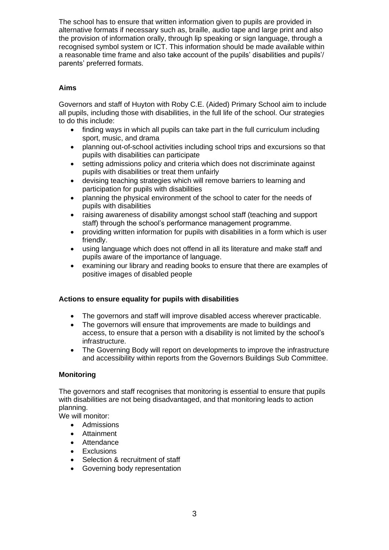The school has to ensure that written information given to pupils are provided in alternative formats if necessary such as, braille, audio tape and large print and also the provision of information orally, through lip speaking or sign language, through a recognised symbol system or ICT. This information should be made available within a reasonable time frame and also take account of the pupils' disabilities and pupils'/ parents' preferred formats.

## **Aims**

Governors and staff of Huyton with Roby C.E. (Aided) Primary School aim to include all pupils, including those with disabilities, in the full life of the school. Our strategies to do this include:

- finding ways in which all pupils can take part in the full curriculum including sport, music, and drama
- planning out-of-school activities including school trips and excursions so that pupils with disabilities can participate
- setting admissions policy and criteria which does not discriminate against pupils with disabilities or treat them unfairly
- devising teaching strategies which will remove barriers to learning and participation for pupils with disabilities
- planning the physical environment of the school to cater for the needs of pupils with disabilities
- raising awareness of disability amongst school staff (teaching and support staff) through the school's performance management programme.
- providing written information for pupils with disabilities in a form which is user friendly.
- using language which does not offend in all its literature and make staff and pupils aware of the importance of language.
- examining our library and reading books to ensure that there are examples of positive images of disabled people

#### **Actions to ensure equality for pupils with disabilities**

- The governors and staff will improve disabled access wherever practicable.
- The governors will ensure that improvements are made to buildings and access, to ensure that a person with a disability is not limited by the school's infrastructure.
- The Governing Body will report on developments to improve the infrastructure and accessibility within reports from the Governors Buildings Sub Committee.

#### **Monitoring**

The governors and staff recognises that monitoring is essential to ensure that pupils with disabilities are not being disadvantaged, and that monitoring leads to action planning.

We will monitor:

- Admissions
- Attainment
- Attendance
- **Exclusions**
- Selection & recruitment of staff
- Governing body representation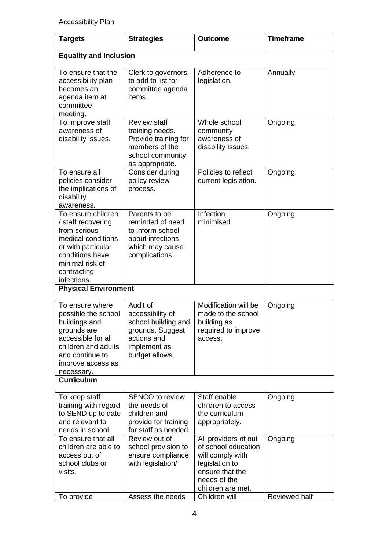Accessibility Plan

| <b>Targets</b>                                                                                                                                                            | <b>Strategies</b>                                                                                                        | <b>Outcome</b>                                                                                                                            | <b>Timeframe</b> |  |  |
|---------------------------------------------------------------------------------------------------------------------------------------------------------------------------|--------------------------------------------------------------------------------------------------------------------------|-------------------------------------------------------------------------------------------------------------------------------------------|------------------|--|--|
| <b>Equality and Inclusion</b>                                                                                                                                             |                                                                                                                          |                                                                                                                                           |                  |  |  |
| To ensure that the<br>accessibility plan<br>becomes an<br>agenda item at<br>committee<br>meeting.                                                                         | Clerk to governors<br>to add to list for<br>committee agenda<br>items.                                                   | Adherence to<br>legislation.                                                                                                              | Annually         |  |  |
| To improve staff<br>awareness of<br>disability issues.                                                                                                                    | <b>Review staff</b><br>training needs.<br>Provide training for<br>members of the<br>school community<br>as appropriate.  | Whole school<br>community<br>awareness of<br>disability issues.                                                                           | Ongoing.         |  |  |
| To ensure all<br>policies consider<br>the implications of<br>disability<br>awareness.                                                                                     | Consider during<br>policy review<br>process.                                                                             | Policies to reflect<br>current legislation.                                                                                               | Ongoing.         |  |  |
| To ensure children<br>/ staff recovering<br>from serious<br>medical conditions<br>or with particular<br>conditions have<br>minimal risk of<br>contracting<br>infections.  | Parents to be<br>reminded of need<br>to inform school<br>about infections<br>which may cause<br>complications.           | <b>Infection</b><br>minimised.                                                                                                            | Ongoing          |  |  |
| <b>Physical Environment</b>                                                                                                                                               |                                                                                                                          |                                                                                                                                           |                  |  |  |
| To ensure where<br>possible the school<br>buildings and<br>grounds are<br>accessible for all<br>children and adults<br>and continue to<br>improve access as<br>necessary. | Audit of<br>accessibility of<br>school building and<br>grounds. Suggest<br>actions and<br>implement as<br>budget allows. | Modification will be<br>made to the school<br>building as<br>required to improve<br>access.                                               | Ongoing          |  |  |
| <b>Curriculum</b>                                                                                                                                                         |                                                                                                                          |                                                                                                                                           |                  |  |  |
| To keep staff<br>training with regard<br>to SEND up to date<br>and relevant to<br>needs in school.                                                                        | <b>SENCO</b> to review<br>the needs of<br>children and<br>provide for training<br>for staff as needed.                   | Staff enable<br>children to access<br>the curriculum<br>appropriately.                                                                    | Ongoing          |  |  |
| To ensure that all<br>children are able to<br>access out of<br>school clubs or<br>visits.                                                                                 | Review out of<br>school provision to<br>ensure compliance<br>with legislation/                                           | All providers of out<br>of school education<br>will comply with<br>legislation to<br>ensure that the<br>needs of the<br>children are met. | Ongoing          |  |  |
| To provide                                                                                                                                                                | Assess the needs                                                                                                         | Children will                                                                                                                             | Reviewed half    |  |  |